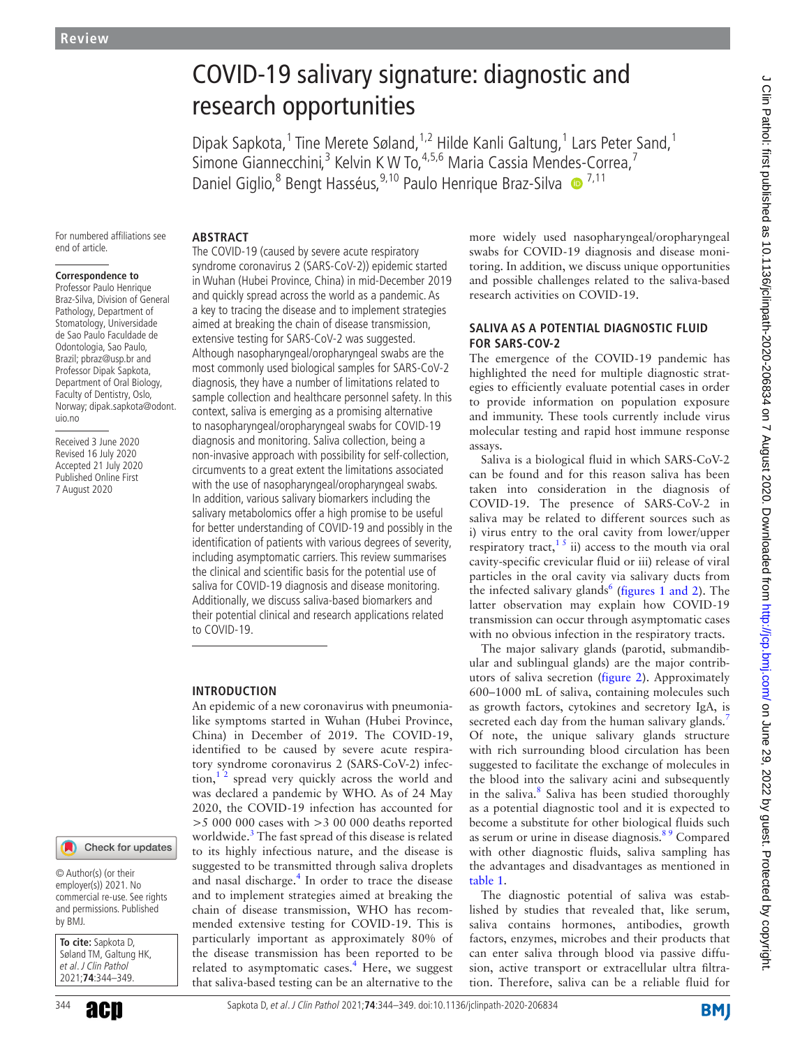# COVID-19 salivary signature: diagnostic and research opportunities

Dipak Sapkota,<sup>1</sup> Tine Merete Søland,<sup>1,2</sup> Hilde Kanli Galtung,<sup>1</sup> Lars Peter Sand,<sup>1</sup> Simone Giannecchini,<sup>3</sup> Kelvin K W To,<sup>4,5,6</sup> Maria Cassia Mendes-Correa,<sup>7</sup> Daniel Giglio,<sup>8</sup> Bengt Hasséus,<sup>9,10</sup> Paulo Henrique Braz-Silva · <sup>7,11</sup>

For numbered affiliations see end of article.

#### **Correspondence to**

Professor Paulo Henrique Braz-Silva, Division of General Pathology, Department of Stomatology, Universidade de Sao Paulo Faculdade de Odontologia, Sao Paulo, Brazil; pbraz@usp.br and Professor Dipak Sapkota, Department of Oral Biology, Faculty of Dentistry, Oslo, Norway; dipak.sapkota@odont. uio.no

Received 3 June 2020 Revised 16 July 2020 Accepted 21 July 2020 Published Online First 7 August 2020

#### **ABSTRACT**

The COVID-19 (caused by severe acute respiratory syndrome coronavirus 2 (SARS-CoV-2)) epidemic started in Wuhan (Hubei Province, China) in mid-December 2019 and quickly spread across the world as a pandemic. As a key to tracing the disease and to implement strategies aimed at breaking the chain of disease transmission, extensive testing for SARS-CoV-2 was suggested. Although nasopharyngeal/oropharyngeal swabs are the most commonly used biological samples for SARS-CoV-2 diagnosis, they have a number of limitations related to sample collection and healthcare personnel safety. In this context, saliva is emerging as a promising alternative to nasopharyngeal/oropharyngeal swabs for COVID-19 diagnosis and monitoring. Saliva collection, being a non-invasive approach with possibility for self-collection, circumvents to a great extent the limitations associated with the use of nasopharyngeal/oropharyngeal swabs. In addition, various salivary biomarkers including the salivary metabolomics offer a high promise to be useful for better understanding of COVID-19 and possibly in the identification of patients with various degrees of severity, including asymptomatic carriers. This review summarises the clinical and scientific basis for the potential use of saliva for COVID-19 diagnosis and disease monitoring. Additionally, we discuss saliva-based biomarkers and their potential clinical and research applications related to COVID-19.

#### **INTRODUCTION**

An epidemic of a new coronavirus with pneumonialike symptoms started in Wuhan (Hubei Province, China) in December of 2019. The COVID-19, identified to be caused by severe acute respiratory syndrome coronavirus 2 (SARS-CoV-2) infec- $\[\text{tion},^{12}\]$  spread very quickly across the world and was declared a pandemic by WHO. As of 24 May 2020, the COVID-19 infection has accounted for >5 000 000 cases with >3 00 000 deaths reported worldwide.<sup>3</sup> The fast spread of this disease is related to its highly infectious nature, and the disease is suggested to be transmitted through saliva droplets and nasal discharge.<sup>[4](#page-4-2)</sup> In order to trace the disease and to implement strategies aimed at breaking the chain of disease transmission, WHO has recommended extensive testing for COVID-19. This is particularly important as approximately 80% of the disease transmission has been reported to be related to asymptomatic cases.<sup>4</sup> Here, we suggest that saliva-based testing can be an alternative to the

more widely used nasopharyngeal/oropharyngeal swabs for COVID-19 diagnosis and disease monitoring. In addition, we discuss unique opportunities and possible challenges related to the saliva-based research activities on COVID-19.

#### **SALIVA AS A POTENTIAL DIAGNOSTIC FLUID FOR SARS-COV-2**

The emergence of the COVID-19 pandemic has highlighted the need for multiple diagnostic strategies to efficiently evaluate potential cases in order to provide information on population exposure and immunity. These tools currently include virus molecular testing and rapid host immune response assays.

Saliva is a biological fluid in which SARS-CoV-2 can be found and for this reason saliva has been taken into consideration in the diagnosis of COVID-19. The presence of SARS-CoV-2 in saliva may be related to different sources such as i) virus entry to the oral cavity from lower/upper respiratory tract,<sup>15</sup> ii) access to the mouth via oral cavity-specific crevicular fluid or iii) release of viral particles in the oral cavity via salivary ducts from the infected salivary glands $<sup>6</sup>$  $<sup>6</sup>$  $<sup>6</sup>$  (figures [1 and 2\)](#page-1-0). The</sup> latter observation may explain how COVID-19 transmission can occur through asymptomatic cases with no obvious infection in the respiratory tracts.

The major salivary glands (parotid, submandibular and sublingual glands) are the major contributors of saliva secretion ([figure](#page-1-1) 2). Approximately 600–1000 mL of saliva, containing molecules such as growth factors, cytokines and secretory IgA, is secreted each day from the human salivary glands.<sup>[7](#page-4-4)</sup> Of note, the unique salivary glands structure with rich surrounding blood circulation has been suggested to facilitate the exchange of molecules in the blood into the salivary acini and subsequently in the saliva.<sup>[8](#page-4-5)</sup> Saliva has been studied thoroughly as a potential diagnostic tool and it is expected to become a substitute for other biological fluids such as serum or urine in disease diagnosis.<sup>89</sup> Compared with other diagnostic fluids, saliva sampling has the advantages and disadvantages as mentioned in [table](#page-2-0) 1.

The diagnostic potential of saliva was established by studies that revealed that, like serum, saliva contains hormones, antibodies, growth factors, enzymes, microbes and their products that can enter saliva through blood via passive diffusion, active transport or extracellular ultra filtration. Therefore, saliva can be a reliable fluid for

#### Check for updates

© Author(s) (or their employer(s)) 2021. No commercial re-use. See rights and permissions. Published by BMJ.

**To cite:** Sapkota D, Søland TM, Galtung HK, et al. J Clin Pathol 2021;**74**:344–349.

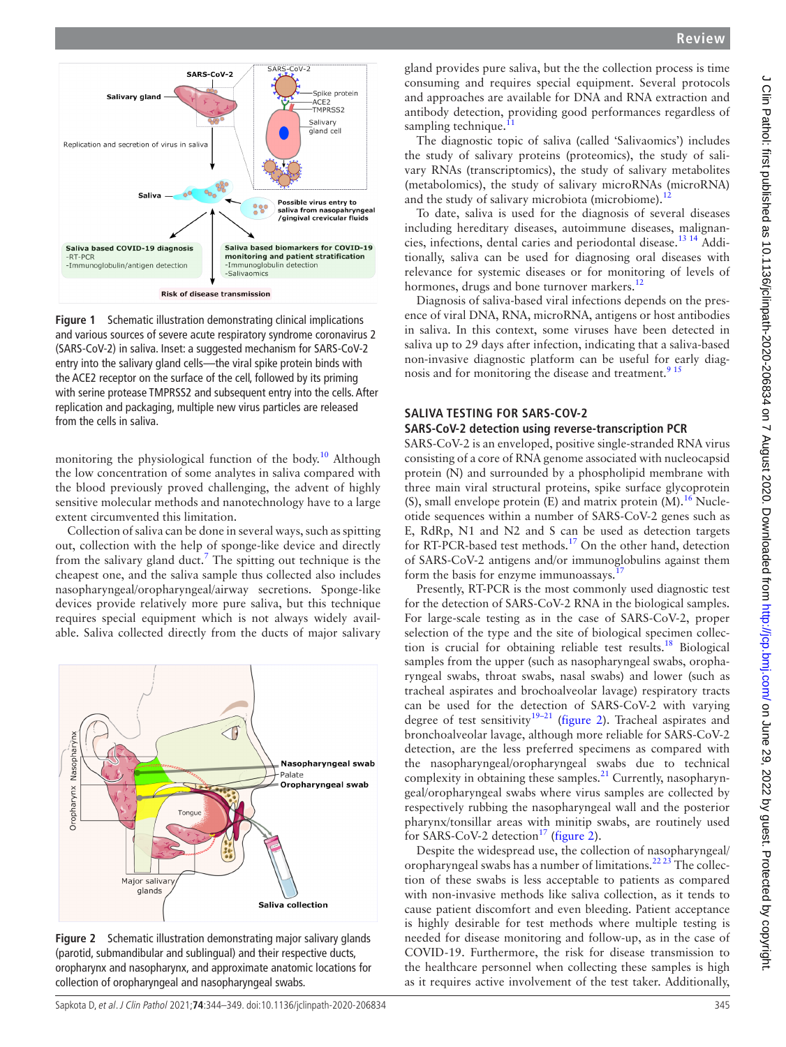



<span id="page-1-0"></span>**Figure 1** Schematic illustration demonstrating clinical implications and various sources of severe acute respiratory syndrome coronavirus 2 (SARS-CoV-2) in saliva. Inset: a suggested mechanism for SARS-CoV-2 entry into the salivary gland cells—the viral spike protein binds with the ACE2 receptor on the surface of the cell, followed by its priming with serine protease TMPRSS2 and subsequent entry into the cells. After replication and packaging, multiple new virus particles are released from the cells in saliva.

monitoring the physiological function of the body.<sup>[10](#page-5-0)</sup> Although the low concentration of some analytes in saliva compared with the blood previously proved challenging, the advent of highly sensitive molecular methods and nanotechnology have to a large extent circumvented this limitation.

Collection of saliva can be done in several ways, such as spitting out, collection with the help of sponge-like device and directly from the salivary gland duct.<sup>[7](#page-4-4)</sup> The spitting out technique is the cheapest one, and the saliva sample thus collected also includes nasopharyngeal/oropharyngeal/airway secretions. Sponge-like devices provide relatively more pure saliva, but this technique requires special equipment which is not always widely available. Saliva collected directly from the ducts of major salivary



<span id="page-1-1"></span>**Figure 2** Schematic illustration demonstrating major salivary glands (parotid, submandibular and sublingual) and their respective ducts, oropharynx and nasopharynx, and approximate anatomic locations for collection of oropharyngeal and nasopharyngeal swabs.

gland provides pure saliva, but the the collection process is time consuming and requires special equipment. Several protocols and approaches are available for DNA and RNA extraction and antibody detection, providing good performances regardless of sampling technique.<sup>[11](#page-5-1)</sup>

The diagnostic topic of saliva (called 'Salivaomics') includes the study of salivary proteins (proteomics), the study of salivary RNAs (transcriptomics), the study of salivary metabolites (metabolomics), the study of salivary microRNAs (microRNA) and the study of salivary microbiota (microbiome).<sup>12</sup>

To date, saliva is used for the diagnosis of several diseases including hereditary diseases, autoimmune diseases, malignancies, infections, dental caries and periodontal disease.[13 14](#page-5-3) Additionally, saliva can be used for diagnosing oral diseases with relevance for systemic diseases or for monitoring of levels of hormones, drugs and bone turnover markers.<sup>[12](#page-5-2)</sup>

Diagnosis of saliva-based viral infections depends on the presence of viral DNA, RNA, microRNA, antigens or host antibodies in saliva. In this context, some viruses have been detected in saliva up to 29 days after infection, indicating that a saliva-based non-invasive diagnostic platform can be useful for early diag-nosis and for monitoring the disease and treatment.<sup>[9 15](#page-5-4)</sup>

# **SALIVA TESTING FOR SARS-COV-2**

#### **SARS-CoV-2 detection using reverse-transcription PCR**

SARS-CoV-2 is an enveloped, positive single-stranded RNA virus consisting of a core of RNA genome associated with nucleocapsid protein (N) and surrounded by a phospholipid membrane with three main viral structural proteins, spike surface glycoprotein (S), small envelope protein (E) and matrix protein  $(M)$ .<sup>16</sup> Nucleotide sequences within a number of SARS-CoV-2 genes such as E, RdRp, N1 and N2 and S can be used as detection targets for RT-PCR-based test methods.<sup>17</sup> On the other hand, detection of SARS-CoV-2 antigens and/or immunoglobulins against them form the basis for enzyme immunoassays.<sup>1</sup>

Presently, RT-PCR is the most commonly used diagnostic test for the detection of SARS-CoV-2 RNA in the biological samples. For large-scale testing as in the case of SARS-CoV-2, proper selection of the type and the site of biological specimen collection is crucial for obtaining reliable test results.[18](#page-5-7) Biological samples from the upper (such as nasopharyngeal swabs, oropharyngeal swabs, throat swabs, nasal swabs) and lower (such as tracheal aspirates and brochoalveolar lavage) respiratory tracts can be used for the detection of SARS-CoV-2 with varying degree of test sensitivity<sup>19–21</sup> ([figure](#page-1-1) 2). Tracheal aspirates and bronchoalveolar lavage, although more reliable for SARS-CoV-2 detection, are the less preferred specimens as compared with the nasopharyngeal/oropharyngeal swabs due to technical complexity in obtaining these samples. $21$  Currently, nasopharyngeal/oropharyngeal swabs where virus samples are collected by respectively rubbing the nasopharyngeal wall and the posterior pharynx/tonsillar areas with minitip swabs, are routinely used for SARS-CoV-2 detection<sup>[17](#page-5-6)</sup> ([figure](#page-1-1) 2).

Despite the widespread use, the collection of nasopharyngeal/ oropharyngeal swabs has a number of limitations.<sup>[22 23](#page-5-10)</sup> The collection of these swabs is less acceptable to patients as compared with non-invasive methods like saliva collection, as it tends to cause patient discomfort and even bleeding. Patient acceptance is highly desirable for test methods where multiple testing is needed for disease monitoring and follow-up, as in the case of COVID-19. Furthermore, the risk for disease transmission to the healthcare personnel when collecting these samples is high as it requires active involvement of the test taker. Additionally,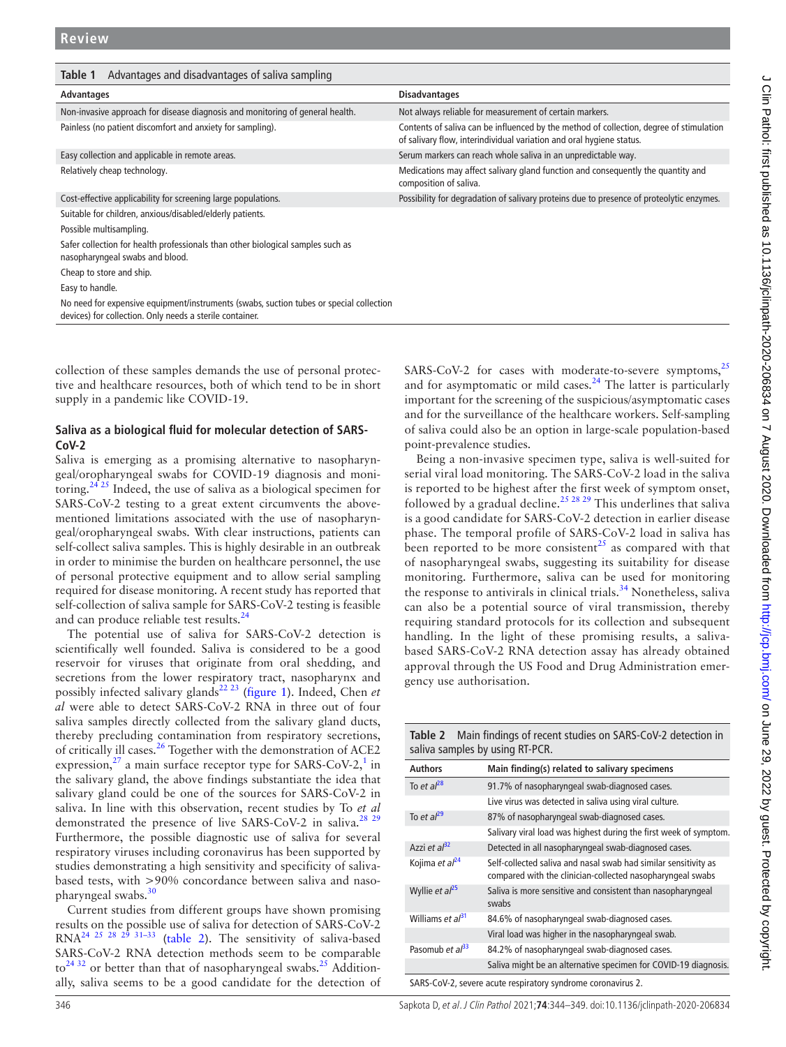<span id="page-2-0"></span>

| Advantages and disadvantages of saliva sampling<br>Table 1                                                                                          |                                                                                                                                                                 |  |
|-----------------------------------------------------------------------------------------------------------------------------------------------------|-----------------------------------------------------------------------------------------------------------------------------------------------------------------|--|
| Advantages                                                                                                                                          | <b>Disadvantages</b>                                                                                                                                            |  |
| Non-invasive approach for disease diagnosis and monitoring of general health.                                                                       | Not always reliable for measurement of certain markers.                                                                                                         |  |
| Painless (no patient discomfort and anxiety for sampling).                                                                                          | Contents of saliva can be influenced by the method of collection, degree of stimulation<br>of salivary flow, interindividual variation and oral hygiene status. |  |
| Easy collection and applicable in remote areas.                                                                                                     | Serum markers can reach whole saliva in an unpredictable way.                                                                                                   |  |
| Relatively cheap technology.                                                                                                                        | Medications may affect salivary gland function and consequently the quantity and<br>composition of saliva.                                                      |  |
| Cost-effective applicability for screening large populations.                                                                                       | Possibility for degradation of salivary proteins due to presence of proteolytic enzymes.                                                                        |  |
| Suitable for children, anxious/disabled/elderly patients.                                                                                           |                                                                                                                                                                 |  |
| Possible multisampling.                                                                                                                             |                                                                                                                                                                 |  |
| Safer collection for health professionals than other biological samples such as<br>nasopharyngeal swabs and blood.                                  |                                                                                                                                                                 |  |
| Cheap to store and ship.                                                                                                                            |                                                                                                                                                                 |  |
| Easy to handle.                                                                                                                                     |                                                                                                                                                                 |  |
| No need for expensive equipment/instruments (swabs, suction tubes or special collection<br>devices) for collection. Only needs a sterile container. |                                                                                                                                                                 |  |
|                                                                                                                                                     |                                                                                                                                                                 |  |

collection of these samples demands the use of personal protective and healthcare resources, both of which tend to be in short supply in a pandemic like COVID-19.

#### **Saliva as a biological fluid for molecular detection of SARS-CoV-2**

Saliva is emerging as a promising alternative to nasopharyngeal/oropharyngeal swabs for COVID-19 diagnosis and monitoring. $2425$  Indeed, the use of saliva as a biological specimen for SARS-CoV-2 testing to a great extent circumvents the abovementioned limitations associated with the use of nasopharyngeal/oropharyngeal swabs. With clear instructions, patients can self-collect saliva samples. This is highly desirable in an outbreak in order to minimise the burden on healthcare personnel, the use of personal protective equipment and to allow serial sampling required for disease monitoring. A recent study has reported that self-collection of saliva sample for SARS-CoV-2 testing is feasible and can produce reliable test results.<sup>24</sup>

The potential use of saliva for SARS-CoV-2 detection is scientifically well founded. Saliva is considered to be a good reservoir for viruses that originate from oral shedding, and secretions from the lower respiratory tract, nasopharynx and possibly infected salivary glands<sup>[22 23](#page-5-10)</sup> [\(figure](#page-1-0) 1). Indeed, Chen *et al* were able to detect SARS-CoV-2 RNA in three out of four saliva samples directly collected from the salivary gland ducts, thereby precluding contamination from respiratory secretions, of critically ill cases.<sup>[26](#page-5-12)</sup> Together with the demonstration of ACE2 expression, $^{27}$  $^{27}$  $^{27}$  a main surface receptor type for SARS-CoV-2,<sup>[1](#page-4-0)</sup> in the salivary gland, the above findings substantiate the idea that salivary gland could be one of the sources for SARS-CoV-2 in saliva. In line with this observation, recent studies by To *et al* demonstrated the presence of live SARS-CoV-2 in saliva.<sup>28</sup><sup>29</sup> Furthermore, the possible diagnostic use of saliva for several respiratory viruses including coronavirus has been supported by studies demonstrating a high sensitivity and specificity of salivabased tests, with >90% concordance between saliva and nasopharyngeal swabs.[30](#page-5-15)

Current studies from different groups have shown promising results on the possible use of saliva for detection of SARS-CoV-2  $RNA<sup>24</sup>$  25 28 29 31-33 [\(table](#page-2-1) 2). The sensitivity of saliva-based SARS-CoV-2 RNA detection methods seem to be comparable  $\text{to}^{24\,32}$  or better than that of nasopharyngeal swabs.<sup>25</sup> Additionally, saliva seems to be a good candidate for the detection of SARS-CoV-2 for cases with moderate-to-severe symptoms,<sup>[25](#page-5-16)</sup> and for asymptomatic or mild cases. $24$  The latter is particularly important for the screening of the suspicious/asymptomatic cases and for the surveillance of the healthcare workers. Self-sampling of saliva could also be an option in large-scale population-based point-prevalence studies. Being a non-invasive specimen type, saliva is well-suited for

serial viral load monitoring. The SARS-CoV-2 load in the saliva is reported to be highest after the first week of symptom onset, followed by a gradual decline.<sup>[25 28 29](#page-5-16)</sup> This underlines that saliva is a good candidate for SARS-CoV-2 detection in earlier disease phase. The temporal profile of SARS-CoV-2 load in saliva has been reported to be more consistent<sup>25</sup> as compared with that of nasopharyngeal swabs, suggesting its suitability for disease monitoring. Furthermore, saliva can be used for monitoring the response to antivirals in clinical trials.<sup>[34](#page-5-17)</sup> Nonetheless, saliva can also be a potential source of viral transmission, thereby requiring standard protocols for its collection and subsequent handling. In the light of these promising results, a salivabased SARS-CoV-2 RNA detection assay has already obtained approval through the US Food and Drug Administration emergency use authorisation.

<span id="page-2-1"></span>

| Main findings of recent studies on SARS-CoV-2 detection in<br>Table 2<br>saliva samples by using RT-PCR. |                                                                                                                               |
|----------------------------------------------------------------------------------------------------------|-------------------------------------------------------------------------------------------------------------------------------|
| <b>Authors</b>                                                                                           | Main finding(s) related to salivary specimens                                                                                 |
| To et $a^{28}$                                                                                           | 91.7% of nasopharyngeal swab-diagnosed cases.                                                                                 |
|                                                                                                          | Live virus was detected in saliva using viral culture.                                                                        |
| To et $al^{29}$                                                                                          | 87% of nasopharyngeal swab-diagnosed cases.                                                                                   |
|                                                                                                          | Salivary viral load was highest during the first week of symptom.                                                             |
| Azzi et $al^{32}$                                                                                        | Detected in all nasopharyngeal swab-diagnosed cases.                                                                          |
| Kojima et al <sup>24</sup>                                                                               | Self-collected saliva and nasal swab had similar sensitivity as<br>compared with the clinician-collected nasopharyngeal swabs |
| Wyllie et $al^{25}$                                                                                      | Saliva is more sensitive and consistent than nasopharyngeal<br>swabs                                                          |
| Williams et al <sup>31</sup>                                                                             | 84.6% of nasopharyngeal swab-diagnosed cases.                                                                                 |
|                                                                                                          | Viral load was higher in the nasopharyngeal swab.                                                                             |
| Pasomub et $a^{33}$                                                                                      | 84.2% of nasopharyngeal swab-diagnosed cases.                                                                                 |
|                                                                                                          | Saliva might be an alternative specimen for COVID-19 diagnosis.                                                               |
| SARS-CoV-2, severe acute respiratory syndrome coronavirus 2.                                             |                                                                                                                               |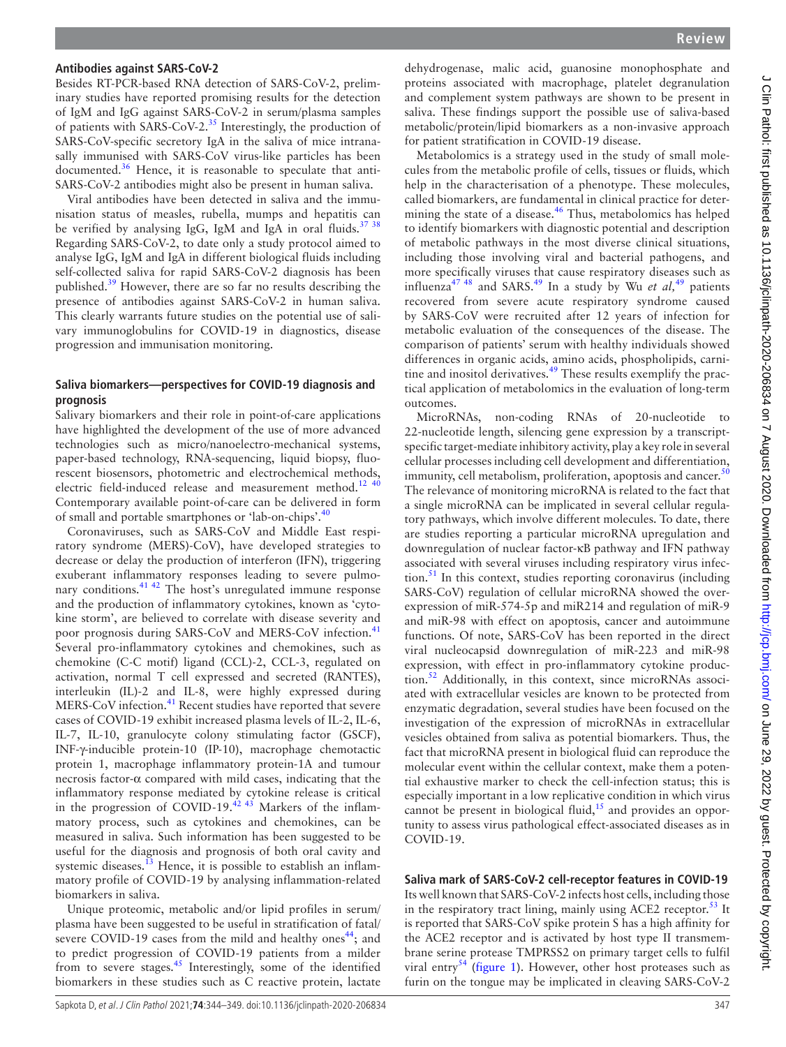#### **Antibodies against SARS-CoV-2**

Besides RT-PCR-based RNA detection of SARS-CoV-2, preliminary studies have reported promising results for the detection of IgM and IgG against SARS-CoV-2 in serum/plasma samples of patients with SARS-CoV-2.[35](#page-5-22) Interestingly, the production of SARS-CoV-specific secretory IgA in the saliva of mice intranasally immunised with SARS-CoV virus-like particles has been documented.<sup>36</sup> Hence, it is reasonable to speculate that anti-SARS-CoV-2 antibodies might also be present in human saliva.

Viral antibodies have been detected in saliva and the immunisation status of measles, rubella, mumps and hepatitis can be verified by analysing IgG, IgM and IgA in oral fluids.<sup>[37 38](#page-5-24)</sup> Regarding SARS-CoV-2, to date only a study protocol aimed to analyse IgG, IgM and IgA in different biological fluids including self-collected saliva for rapid SARS-CoV-2 diagnosis has been published.<sup>[39](#page-5-25)</sup> However, there are so far no results describing the presence of antibodies against SARS-CoV-2 in human saliva. This clearly warrants future studies on the potential use of salivary immunoglobulins for COVID-19 in diagnostics, disease progression and immunisation monitoring.

#### **Saliva biomarkers—perspectives for COVID-19 diagnosis and prognosis**

Salivary biomarkers and their role in point-of-care applications have highlighted the development of the use of more advanced technologies such as micro/nanoelectro-mechanical systems, paper-based technology, RNA-sequencing, liquid biopsy, fluorescent biosensors, photometric and electrochemical methods, electric field-induced release and measurement method.<sup>12</sup>  $40$ Contemporary available point-of-care can be delivered in form of small and portable smartphones or 'lab-on-chips'.[40](#page-5-26)

Coronaviruses, such as SARS-CoV and Middle East respiratory syndrome (MERS)-CoV), have developed strategies to decrease or delay the production of interferon (IFN), triggering exuberant inflammatory responses leading to severe pulmonary conditions.<sup>41 42</sup> The host's unregulated immune response and the production of inflammatory cytokines, known as 'cytokine storm', are believed to correlate with disease severity and poor prognosis during SARS-CoV and MERS-CoV infection.<sup>[41](#page-5-27)</sup> Several pro-inflammatory cytokines and chemokines, such as chemokine (C-C motif) ligand (CCL)-2, CCL-3, regulated on activation, normal T cell expressed and secreted (RANTES), interleukin (IL)-2 and IL-8, were highly expressed during MERS-CoV infection.<sup>[41](#page-5-27)</sup> Recent studies have reported that severe cases of COVID-19 exhibit increased plasma levels of IL-2, IL-6, IL-7, IL-10, granulocyte colony stimulating factor (GSCF), INF-γ-inducible protein-10 (IP-10), macrophage chemotactic protein 1, macrophage inflammatory protein-1A and tumour necrosis factor-α compared with mild cases, indicating that the inflammatory response mediated by cytokine release is critical in the progression of COVID-19.<sup>[42 43](#page-5-28)</sup> Markers of the inflammatory process, such as cytokines and chemokines, can be measured in saliva. Such information has been suggested to be useful for the diagnosis and prognosis of both oral cavity and systemic diseases.<sup>[13](#page-5-3)</sup> Hence, it is possible to establish an inflammatory profile of COVID-19 by analysing inflammation-related biomarkers in saliva.

Unique proteomic, metabolic and/or lipid profiles in serum/ plasma have been suggested to be useful in stratification of fatal/ severe COVID-19 cases from the mild and healthy ones<sup>[44](#page-5-29)</sup>; and to predict progression of COVID-19 patients from a milder from to severe stages.<sup>[45](#page-5-30)</sup> Interestingly, some of the identified biomarkers in these studies such as C reactive protein, lactate

dehydrogenase, malic acid, guanosine monophosphate and proteins associated with macrophage, platelet degranulation and complement system pathways are shown to be present in saliva. These findings support the possible use of saliva-based metabolic/protein/lipid biomarkers as a non-invasive approach for patient stratification in COVID-19 disease.

Metabolomics is a strategy used in the study of small molecules from the metabolic profile of cells, tissues or fluids, which help in the characterisation of a phenotype. These molecules, called biomarkers, are fundamental in clinical practice for deter-mining the state of a disease.<sup>[46](#page-5-31)</sup> Thus, metabolomics has helped to identify biomarkers with diagnostic potential and description of metabolic pathways in the most diverse clinical situations, including those involving viral and bacterial pathogens, and more specifically viruses that cause respiratory diseases such as influenza<sup>47</sup> <sup>48</sup> and SARS.<sup>[49](#page-5-33)</sup> In a study by Wu *et al*,<sup>49</sup> patients recovered from severe acute respiratory syndrome caused by SARS-CoV were recruited after 12 years of infection for metabolic evaluation of the consequences of the disease. The comparison of patients' serum with healthy individuals showed differences in organic acids, amino acids, phospholipids, carnitine and inositol derivatives. $49$  These results exemplify the practical application of metabolomics in the evaluation of long-term outcomes.

MicroRNAs, non-coding RNAs of 20-nucleotide to 22-nucleotide length, silencing gene expression by a transcriptspecific target-mediate inhibitory activity, play a key role in several cellular processes including cell development and differentiation, immunity, cell metabolism, proliferation, apoptosis and cancer. $50$ The relevance of monitoring microRNA is related to the fact that a single microRNA can be implicated in several cellular regulatory pathways, which involve different molecules. To date, there are studies reporting a particular microRNA upregulation and downregulation of nuclear factor-κB pathway and IFN pathway associated with several viruses including respiratory virus infection.[51](#page-5-35) In this context, studies reporting coronavirus (including SARS-CoV) regulation of cellular microRNA showed the overexpression of miR-574-5p and miR214 and regulation of miR-9 and miR-98 with effect on apoptosis, cancer and autoimmune functions. Of note, SARS-CoV has been reported in the direct viral nucleocapsid downregulation of miR-223 and miR-98 expression, with effect in pro-inflammatory cytokine produc-tion.<sup>[52](#page-5-36)</sup> Additionally, in this context, since microRNAs associated with extracellular vesicles are known to be protected from enzymatic degradation, several studies have been focused on the investigation of the expression of microRNAs in extracellular vesicles obtained from saliva as potential biomarkers. Thus, the fact that microRNA present in biological fluid can reproduce the molecular event within the cellular context, make them a potential exhaustive marker to check the cell-infection status; this is especially important in a low replicative condition in which virus cannot be present in biological fluid, $15$  and provides an opportunity to assess virus pathological effect-associated diseases as in COVID-19.

# **Saliva mark of SARS-CoV-2 cell-receptor features in COVID-19**

Its well known that SARS-CoV-2 infects host cells, including those in the respiratory tract lining, mainly using ACE2 receptor.<sup>[53](#page-5-38)</sup> It is reported that SARS-CoV spike protein S has a high affinity for the ACE2 receptor and is activated by host type II transmembrane serine protease TMPRSS2 on primary target cells to fulfil viral entry<sup>[54](#page-5-39)</sup> ([figure](#page-1-0) 1). However, other host proteases such as furin on the tongue may be implicated in cleaving SARS-CoV-2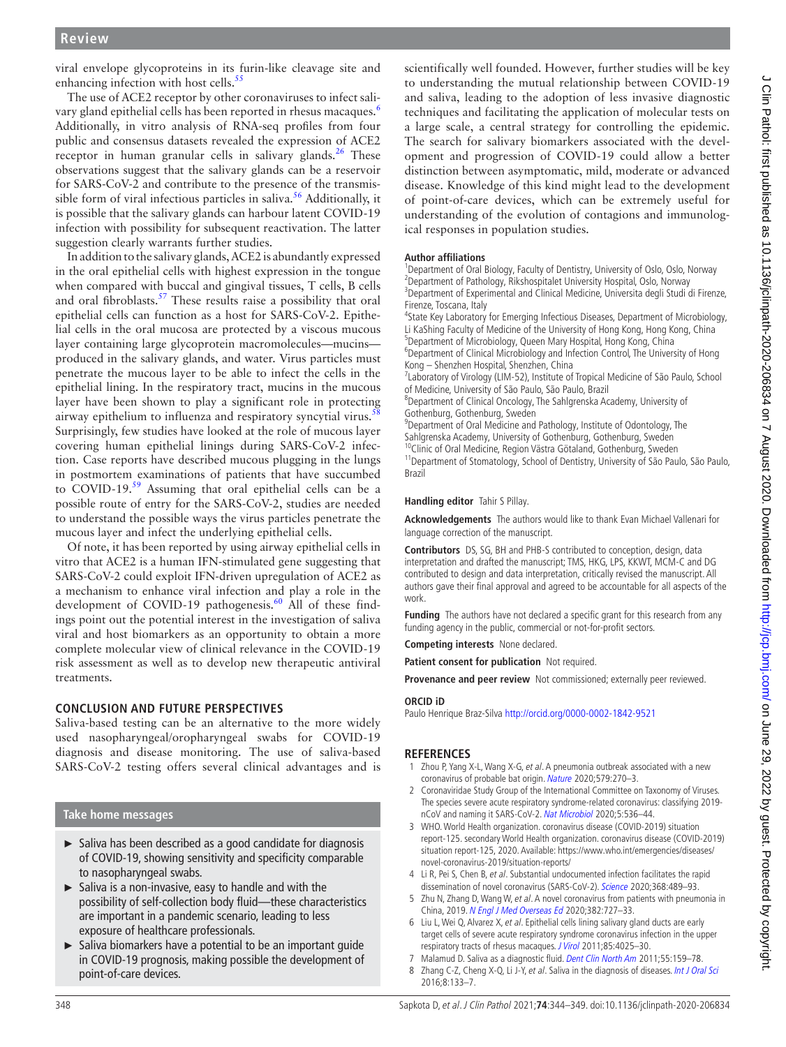viral envelope glycoproteins in its furin-like cleavage site and enhancing infection with host cells.<sup>55</sup>

The use of ACE2 receptor by other coronaviruses to infect sali-vary gland epithelial cells has been reported in rhesus macaques.<sup>[6](#page-4-3)</sup> Additionally, in vitro analysis of RNA-seq profiles from four public and consensus datasets revealed the expression of ACE2 receptor in human granular cells in salivary glands.<sup>26</sup> These observations suggest that the salivary glands can be a reservoir for SARS-CoV-2 and contribute to the presence of the transmissible form of viral infectious particles in saliva.<sup>56</sup> Additionally, it is possible that the salivary glands can harbour latent COVID-19 infection with possibility for subsequent reactivation. The latter suggestion clearly warrants further studies.

In addition to the salivary glands, ACE2 is abundantly expressed in the oral epithelial cells with highest expression in the tongue when compared with buccal and gingival tissues, T cells, B cells and oral fibroblasts.<sup>57</sup> These results raise a possibility that oral epithelial cells can function as a host for SARS-CoV-2. Epithelial cells in the oral mucosa are protected by a viscous mucous layer containing large glycoprotein macromolecules—mucins produced in the salivary glands, and water. Virus particles must penetrate the mucous layer to be able to infect the cells in the epithelial lining. In the respiratory tract, mucins in the mucous layer have been shown to play a significant role in protecting airway epithelium to influenza and respiratory syncytial virus.<sup>5</sup> Surprisingly, few studies have looked at the role of mucous layer covering human epithelial linings during SARS-CoV-2 infection. Case reports have described mucous plugging in the lungs in postmortem examinations of patients that have succumbed to COVID-19.[59](#page-5-44) Assuming that oral epithelial cells can be a possible route of entry for the SARS-CoV-2, studies are needed to understand the possible ways the virus particles penetrate the mucous layer and infect the underlying epithelial cells.

Of note, it has been reported by using airway epithelial cells in vitro that ACE2 is a human IFN-stimulated gene suggesting that SARS-CoV-2 could exploit IFN-driven upregulation of ACE2 as a mechanism to enhance viral infection and play a role in the development of COVID-19 pathogenesis.<sup>[60](#page-5-45)</sup> All of these findings point out the potential interest in the investigation of saliva viral and host biomarkers as an opportunity to obtain a more complete molecular view of clinical relevance in the COVID-19 risk assessment as well as to develop new therapeutic antiviral treatments.

# **CONCLUSION AND FUTURE PERSPECTIVES**

Saliva-based testing can be an alternative to the more widely used nasopharyngeal/oropharyngeal swabs for COVID-19 diagnosis and disease monitoring. The use of saliva-based SARS-CoV-2 testing offers several clinical advantages and is

# **Take home messages**

- ► Saliva has been described as a good candidate for diagnosis of COVID-19, showing sensitivity and specificity comparable to nasopharyngeal swabs.
- ► Saliva is a non-invasive, easy to handle and with the possibility of self-collection body fluid—these characteristics are important in a pandemic scenario, leading to less exposure of healthcare professionals.
- ► Saliva biomarkers have a potential to be an important guide in COVID-19 prognosis, making possible the development of point-of-care devices.

scientifically well founded. However, further studies will be key to understanding the mutual relationship between COVID-19 and saliva, leading to the adoption of less invasive diagnostic techniques and facilitating the application of molecular tests on a large scale, a central strategy for controlling the epidemic. The search for salivary biomarkers associated with the development and progression of COVID-19 could allow a better distinction between asymptomatic, mild, moderate or advanced disease. Knowledge of this kind might lead to the development of point-of-care devices, which can be extremely useful for understanding of the evolution of contagions and immunological responses in population studies.

#### **Author affiliations**

<sup>1</sup>Department of Oral Biology, Faculty of Dentistry, University of Oslo, Oslo, Norway <sup>2</sup>Department of Pathology, Rikshospitalet University Hospital, Oslo, Norway <sup>3</sup>Department of Experimental and Clinical Medicine, Universita degli Studi di Firenze, Firenze, Toscana, Italy

4 State Key Laboratory for Emerging Infectious Diseases, Department of Microbiology, Li KaShing Faculty of Medicine of the University of Hong Kong, Hong Kong, China 5 Department of Microbiology, Queen Mary Hospital, Hong Kong, China

<sup>6</sup>Department of Clinical Microbiology and Infection Control, The University of Hong Kong – Shenzhen Hospital, Shenzhen, China

<sup>7</sup> Laboratory of Virology (LIM-52), Institute of Tropical Medicine of São Paulo, School of Medicine, University of São Paulo, São Paulo, Brazil

8 Department of Clinical Oncology, The Sahlgrenska Academy, University of Gothenburg, Gothenburg, Sweden

<sup>9</sup>Department of Oral Medicine and Pathology, Institute of Odontology, The Sahlgrenska Academy, University of Gothenburg, Gothenburg, Sweden <sup>10</sup>Clinic of Oral Medicine, Region Västra Götaland, Gothenburg, Sweden

<sup>11</sup> Department of Stomatology, School of Dentistry, University of São Paulo, São Paulo, Brazil

**Handling editor** Tahir S Pillay.

**Acknowledgements** The authors would like to thank Evan Michael Vallenari for language correction of the manuscript.

**Contributors** DS, SG, BH and PHB-S contributed to conception, design, data interpretation and drafted the manuscript; TMS, HKG, LPS, KKWT, MCM-C and DG contributed to design and data interpretation, critically revised the manuscript. All authors gave their final approval and agreed to be accountable for all aspects of the work.

**Funding** The authors have not declared a specific grant for this research from any funding agency in the public, commercial or not-for-profit sectors.

**Competing interests** None declared.

**Patient consent for publication** Not required.

**Provenance and peer review** Not commissioned; externally peer reviewed.

#### **ORCID iD**

Paulo Henrique Braz-Silva <http://orcid.org/0000-0002-1842-9521>

#### **REFERENCES**

- <span id="page-4-0"></span>1 Zhou P, Yang X-L, Wang X-G, et al. A pneumonia outbreak associated with a new coronavirus of probable bat origin. [Nature](http://dx.doi.org/10.1038/s41586-020-2012-7) 2020;579:270–3.
- 2 Coronaviridae Study Group of the International Committee on Taxonomy of Viruses. The species severe acute respiratory syndrome-related coronavirus: classifying 2019 nCoV and naming it SARS-CoV-2. [Nat Microbiol](http://dx.doi.org/10.1038/s41564-020-0695-z) 2020;5:536–44.
- <span id="page-4-1"></span>3 WHO. World Health organization. coronavirus disease (COVID-2019) situation report-125. secondary World Health organization. coronavirus disease (COVID-2019) situation report-125, 2020. Available: [https://www.who.int/emergencies/diseases/](https://www.who.int/emergencies/diseases/novel-coronavirus-2019/situation-reports/) [novel-coronavirus-2019/situation-reports/](https://www.who.int/emergencies/diseases/novel-coronavirus-2019/situation-reports/)
- <span id="page-4-2"></span>4 Li R, Pei S, Chen B, et al. Substantial undocumented infection facilitates the rapid dissemination of novel coronavirus (SARS-CoV-2). [Science](http://dx.doi.org/10.1126/science.abb3221) 2020;368:489–93.
- 5 Zhu N, Zhang D, Wang W, et al. A novel coronavirus from patients with pneumonia in China, 2019. [N Engl J Med Overseas Ed](http://dx.doi.org/10.1056/NEJMoa2001017) 2020;382:727–33.
- <span id="page-4-3"></span>6 Liu L, Wei Q, Alvarez X, et al. Epithelial cells lining salivary gland ducts are early target cells of severe acute respiratory syndrome coronavirus infection in the upper respiratory tracts of rhesus macaques. [J Virol](http://dx.doi.org/10.1128/JVI.02292-10) 2011;85:4025–30.
- <span id="page-4-4"></span>7 Malamud D. Saliva as a diagnostic fluid. [Dent Clin North Am](http://dx.doi.org/10.1016/j.cden.2010.08.004) 2011;55:159-78.
- <span id="page-4-5"></span>8 Zhang C-Z, Cheng X-Q, Li J-Y, et al. Saliva in the diagnosis of diseases. [Int J Oral Sci](http://dx.doi.org/10.1038/ijos.2016.38) 2016;8:133–7.